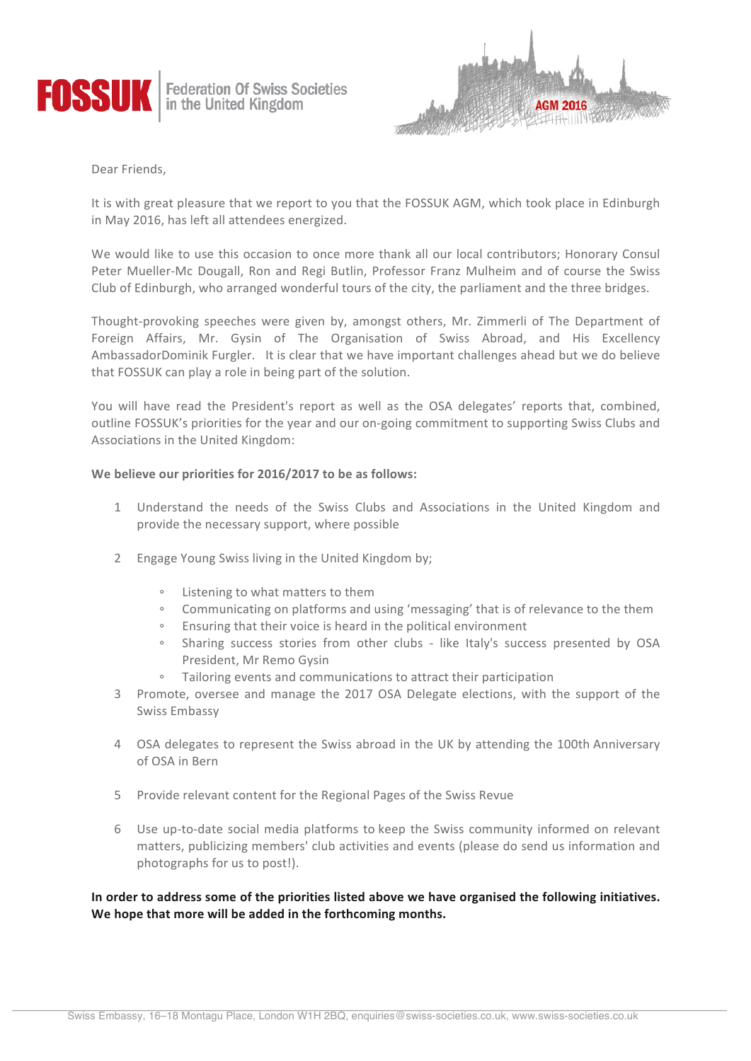

**Federation Of Swiss Societies**<br>in the United Kingdom



Dear Friends,

It is with great pleasure that we report to you that the FOSSUK AGM, which took place in Edinburgh in May 2016, has left all attendees energized.

We would like to use this occasion to once more thank all our local contributors; Honorary Consul Peter Mueller-Mc Dougall, Ron and Regi Butlin, Professor Franz Mulheim and of course the Swiss Club of Edinburgh, who arranged wonderful tours of the city, the parliament and the three bridges.

Thought-provoking speeches were given by, amongst others, Mr. Zimmerli of The Department of Foreign Affairs, Mr. Gysin of The Organisation of Swiss Abroad, and His Excellency AmbassadorDominik Furgler. It is clear that we have important challenges ahead but we do believe that FOSSUK can play a role in being part of the solution.

You will have read the President's report as well as the OSA delegates' reports that, combined, outline FOSSUK's priorities for the year and our on-going commitment to supporting Swiss Clubs and Associations in the United Kingdom:

# We believe our priorities for 2016/2017 to be as follows:

- 1 Understand the needs of the Swiss Clubs and Associations in the United Kingdom and provide the necessary support, where possible
- 2 Engage Young Swiss living in the United Kingdom by;
	- Listening to what matters to them
	- Communicating on platforms and using 'messaging' that is of relevance to the them
	- Ensuring that their voice is heard in the political environment
	- Sharing success stories from other clubs like Italy's success presented by OSA President, Mr Remo Gysin
	- Tailoring events and communications to attract their participation
- 3 Promote, oversee and manage the 2017 OSA Delegate elections, with the support of the Swiss Embassy
- 4 OSA delegates to represent the Swiss abroad in the UK by attending the 100th Anniversary of OSA in Bern
- 5 Provide relevant content for the Regional Pages of the Swiss Revue
- 6 Use up-to-date social media platforms to keep the Swiss community informed on relevant matters, publicizing members' club activities and events (please do send us information and photographs for us to post!).

In order to address some of the priorities listed above we have organised the following initiatives. We hope that more will be added in the forthcoming months.